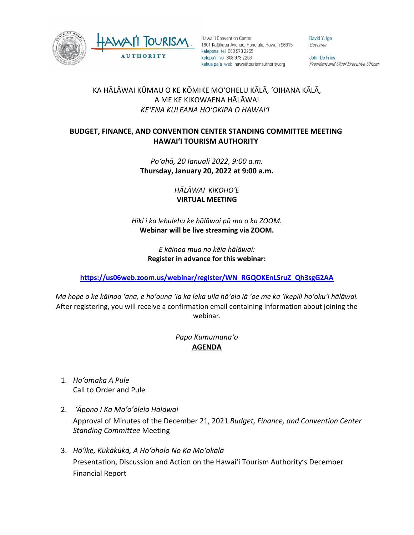



Hawai'i Convention Center 1801 Kalākaua Avenue, Honolulu, Hawai'i 96815 kelepona tel 808 973 2255 kelepa'i fax 808 973 2253 kahua pa'a web hawaiitourismauthority.org

David Y. Ige Governor

John De Fries President and Chief Executive Officer

## KA HĀLĀWAI KŪMAU O KE KŌMIKE MOʻOHELU KĀLĀ, ʻOIHANA KĀLĀ, A ME KE KIKOWAENA HĀLĀWAI *KEʻENA KULEANA HOʻOKIPA O HAWAIʻI*

## **BUDGET, FINANCE, AND CONVENTION CENTER STANDING COMMITTEE MEETING HAWAI'I TOURISM AUTHORITY**

## *Poʻahā, 20 Ianuali 2022, 9:00 a.m.* **Thursday, January 20, 2022 at 9:00 a.m.**

*HĀLĀWAI KIKOHOʻE* **VIRTUAL MEETING**

*Hiki i ka lehulehu ke hālāwai pū ma o ka ZOOM.*  **Webinar will be live streaming via ZOOM.**

> *E kāinoa mua no kēia hālāwai:* **Register in advance for this webinar:**

**[https://us06web.zoom.us/webinar/register/WN\\_RGQOKEnLSruZ\\_Qh3sgG2AA](https://us06web.zoom.us/webinar/register/WN_RGQOKEnLSruZ_Qh3sgG2AA)**

*Ma hope o ke kāinoa ʻana, e hoʻouna ʻia ka leka uila hōʻoia iā ʻoe me ka ʻikepili hoʻokuʻi hālāwai.* After registering, you will receive a confirmation email containing information about joining the webinar.

## *Papa Kumumanaʻo* **AGENDA**

- 1. *Hoʻomaka A Pule* Call to Order and Pule
- 2. *ʻĀpono I Ka Moʻoʻōlelo Hālāwai* Approval of Minutes of the December 21, 2021 *Budget, Finance, and Convention Center Standing Committee* Meeting
- 3. *Hōʻike, Kūkākūkā, A Hoʻoholo No Ka Moʻokālā*  Presentation, Discussion and Action on the Hawai'i Tourism Authority's December Financial Report